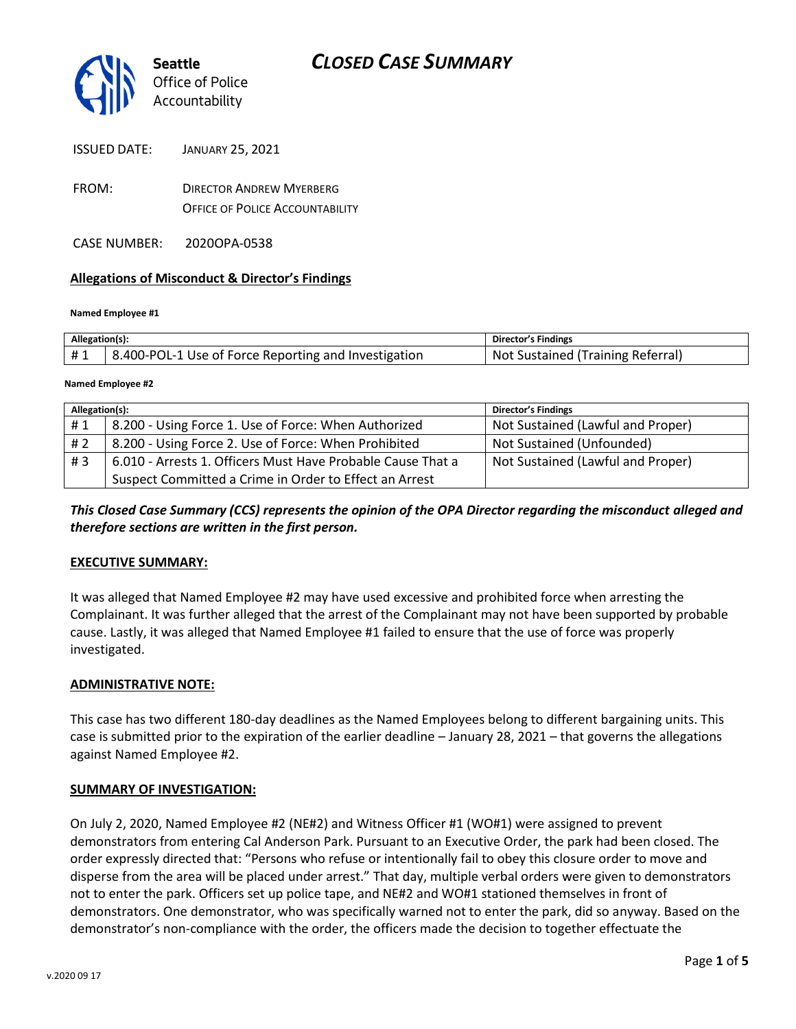

| <b>ISSUED DATE:</b> | <b>JANUARY 25, 2021</b> |
|---------------------|-------------------------|
|---------------------|-------------------------|

- FROM: DIRECTOR ANDREW MYERBERG OFFICE OF POLICE ACCOUNTABILITY
- CASE NUMBER: 2020OPA-0538

#### **Allegations of Misconduct & Director's Findings**

#### **Named Employee #1**

| Allegation(s): |                                                      | Director's Findings               |
|----------------|------------------------------------------------------|-----------------------------------|
| #1             | 8.400-POL-1 Use of Force Reporting and Investigation | Not Sustained (Training Referral) |
|                |                                                      |                                   |

#### **Named Employee #2**

| Allegation(s): |                                                             | <b>Director's Findings</b>        |
|----------------|-------------------------------------------------------------|-----------------------------------|
| #1             | 8.200 - Using Force 1. Use of Force: When Authorized        | Not Sustained (Lawful and Proper) |
| # 2            | 8.200 - Using Force 2. Use of Force: When Prohibited        | Not Sustained (Unfounded)         |
| #3             | 6.010 - Arrests 1. Officers Must Have Probable Cause That a | Not Sustained (Lawful and Proper) |
|                | Suspect Committed a Crime in Order to Effect an Arrest      |                                   |

## *This Closed Case Summary (CCS) represents the opinion of the OPA Director regarding the misconduct alleged and therefore sections are written in the first person.*

#### **EXECUTIVE SUMMARY:**

It was alleged that Named Employee #2 may have used excessive and prohibited force when arresting the Complainant. It was further alleged that the arrest of the Complainant may not have been supported by probable cause. Lastly, it was alleged that Named Employee #1 failed to ensure that the use of force was properly investigated.

#### **ADMINISTRATIVE NOTE:**

This case has two different 180-day deadlines as the Named Employees belong to different bargaining units. This case is submitted prior to the expiration of the earlier deadline – January 28, 2021 – that governs the allegations against Named Employee #2.

#### **SUMMARY OF INVESTIGATION:**

On July 2, 2020, Named Employee #2 (NE#2) and Witness Officer #1 (WO#1) were assigned to prevent demonstrators from entering Cal Anderson Park. Pursuant to an Executive Order, the park had been closed. The order expressly directed that: "Persons who refuse or intentionally fail to obey this closure order to move and disperse from the area will be placed under arrest." That day, multiple verbal orders were given to demonstrators not to enter the park. Officers set up police tape, and NE#2 and WO#1 stationed themselves in front of demonstrators. One demonstrator, who was specifically warned not to enter the park, did so anyway. Based on the demonstrator's non-compliance with the order, the officers made the decision to together effectuate the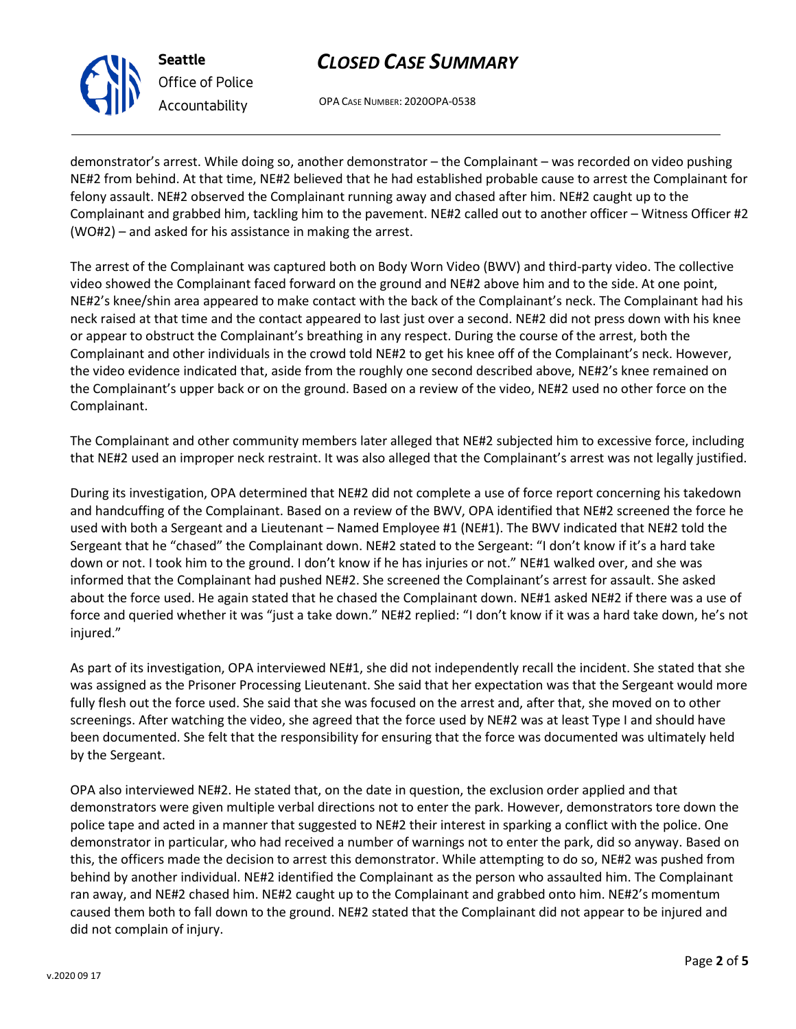# *CLOSED CASE SUMMARY*

OPA CASE NUMBER: 2020OPA-0538

demonstrator's arrest. While doing so, another demonstrator – the Complainant – was recorded on video pushing NE#2 from behind. At that time, NE#2 believed that he had established probable cause to arrest the Complainant for felony assault. NE#2 observed the Complainant running away and chased after him. NE#2 caught up to the Complainant and grabbed him, tackling him to the pavement. NE#2 called out to another officer – Witness Officer #2 (WO#2) – and asked for his assistance in making the arrest.

The arrest of the Complainant was captured both on Body Worn Video (BWV) and third-party video. The collective video showed the Complainant faced forward on the ground and NE#2 above him and to the side. At one point, NE#2's knee/shin area appeared to make contact with the back of the Complainant's neck. The Complainant had his neck raised at that time and the contact appeared to last just over a second. NE#2 did not press down with his knee or appear to obstruct the Complainant's breathing in any respect. During the course of the arrest, both the Complainant and other individuals in the crowd told NE#2 to get his knee off of the Complainant's neck. However, the video evidence indicated that, aside from the roughly one second described above, NE#2's knee remained on the Complainant's upper back or on the ground. Based on a review of the video, NE#2 used no other force on the Complainant.

The Complainant and other community members later alleged that NE#2 subjected him to excessive force, including that NE#2 used an improper neck restraint. It was also alleged that the Complainant's arrest was not legally justified.

During its investigation, OPA determined that NE#2 did not complete a use of force report concerning his takedown and handcuffing of the Complainant. Based on a review of the BWV, OPA identified that NE#2 screened the force he used with both a Sergeant and a Lieutenant – Named Employee #1 (NE#1). The BWV indicated that NE#2 told the Sergeant that he "chased" the Complainant down. NE#2 stated to the Sergeant: "I don't know if it's a hard take down or not. I took him to the ground. I don't know if he has injuries or not." NE#1 walked over, and she was informed that the Complainant had pushed NE#2. She screened the Complainant's arrest for assault. She asked about the force used. He again stated that he chased the Complainant down. NE#1 asked NE#2 if there was a use of force and queried whether it was "just a take down." NE#2 replied: "I don't know if it was a hard take down, he's not injured."

As part of its investigation, OPA interviewed NE#1, she did not independently recall the incident. She stated that she was assigned as the Prisoner Processing Lieutenant. She said that her expectation was that the Sergeant would more fully flesh out the force used. She said that she was focused on the arrest and, after that, she moved on to other screenings. After watching the video, she agreed that the force used by NE#2 was at least Type I and should have been documented. She felt that the responsibility for ensuring that the force was documented was ultimately held by the Sergeant.

OPA also interviewed NE#2. He stated that, on the date in question, the exclusion order applied and that demonstrators were given multiple verbal directions not to enter the park. However, demonstrators tore down the police tape and acted in a manner that suggested to NE#2 their interest in sparking a conflict with the police. One demonstrator in particular, who had received a number of warnings not to enter the park, did so anyway. Based on this, the officers made the decision to arrest this demonstrator. While attempting to do so, NE#2 was pushed from behind by another individual. NE#2 identified the Complainant as the person who assaulted him. The Complainant ran away, and NE#2 chased him. NE#2 caught up to the Complainant and grabbed onto him. NE#2's momentum caused them both to fall down to the ground. NE#2 stated that the Complainant did not appear to be injured and did not complain of injury.



**Seattle**

*Office of Police Accountability*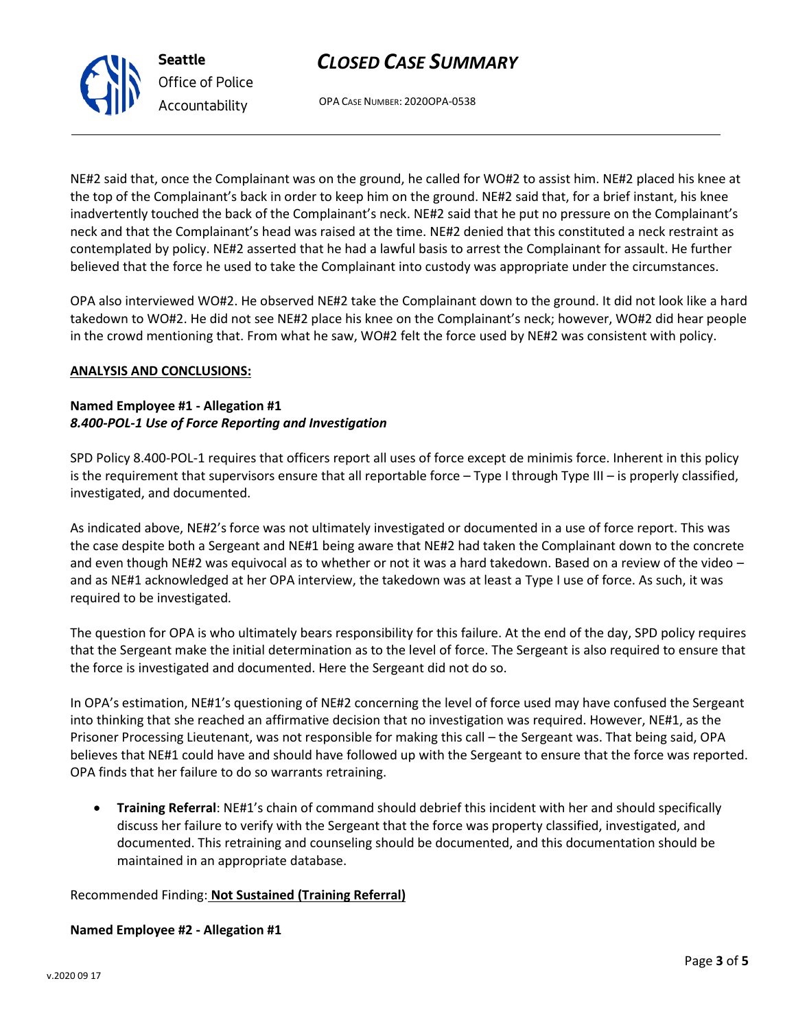

OPA CASE NUMBER: 2020OPA-0538

*CLOSED CASE SUMMARY*

NE#2 said that, once the Complainant was on the ground, he called for WO#2 to assist him. NE#2 placed his knee at the top of the Complainant's back in order to keep him on the ground. NE#2 said that, for a brief instant, his knee inadvertently touched the back of the Complainant's neck. NE#2 said that he put no pressure on the Complainant's neck and that the Complainant's head was raised at the time. NE#2 denied that this constituted a neck restraint as contemplated by policy. NE#2 asserted that he had a lawful basis to arrest the Complainant for assault. He further believed that the force he used to take the Complainant into custody was appropriate under the circumstances.

OPA also interviewed WO#2. He observed NE#2 take the Complainant down to the ground. It did not look like a hard takedown to WO#2. He did not see NE#2 place his knee on the Complainant's neck; however, WO#2 did hear people in the crowd mentioning that. From what he saw, WO#2 felt the force used by NE#2 was consistent with policy.

#### **ANALYSIS AND CONCLUSIONS:**

#### **Named Employee #1 - Allegation #1** *8.400-POL-1 Use of Force Reporting and Investigation*

SPD Policy 8.400-POL-1 requires that officers report all uses of force except de minimis force. Inherent in this policy is the requirement that supervisors ensure that all reportable force – Type I through Type III – is properly classified, investigated, and documented.

As indicated above, NE#2's force was not ultimately investigated or documented in a use of force report. This was the case despite both a Sergeant and NE#1 being aware that NE#2 had taken the Complainant down to the concrete and even though NE#2 was equivocal as to whether or not it was a hard takedown. Based on a review of the video and as NE#1 acknowledged at her OPA interview, the takedown was at least a Type I use of force. As such, it was required to be investigated.

The question for OPA is who ultimately bears responsibility for this failure. At the end of the day, SPD policy requires that the Sergeant make the initial determination as to the level of force. The Sergeant is also required to ensure that the force is investigated and documented. Here the Sergeant did not do so.

In OPA's estimation, NE#1's questioning of NE#2 concerning the level of force used may have confused the Sergeant into thinking that she reached an affirmative decision that no investigation was required. However, NE#1, as the Prisoner Processing Lieutenant, was not responsible for making this call – the Sergeant was. That being said, OPA believes that NE#1 could have and should have followed up with the Sergeant to ensure that the force was reported. OPA finds that her failure to do so warrants retraining.

• **Training Referral**: NE#1's chain of command should debrief this incident with her and should specifically discuss her failure to verify with the Sergeant that the force was property classified, investigated, and documented. This retraining and counseling should be documented, and this documentation should be maintained in an appropriate database.

#### Recommended Finding: **Not Sustained (Training Referral)**

#### **Named Employee #2 - Allegation #1**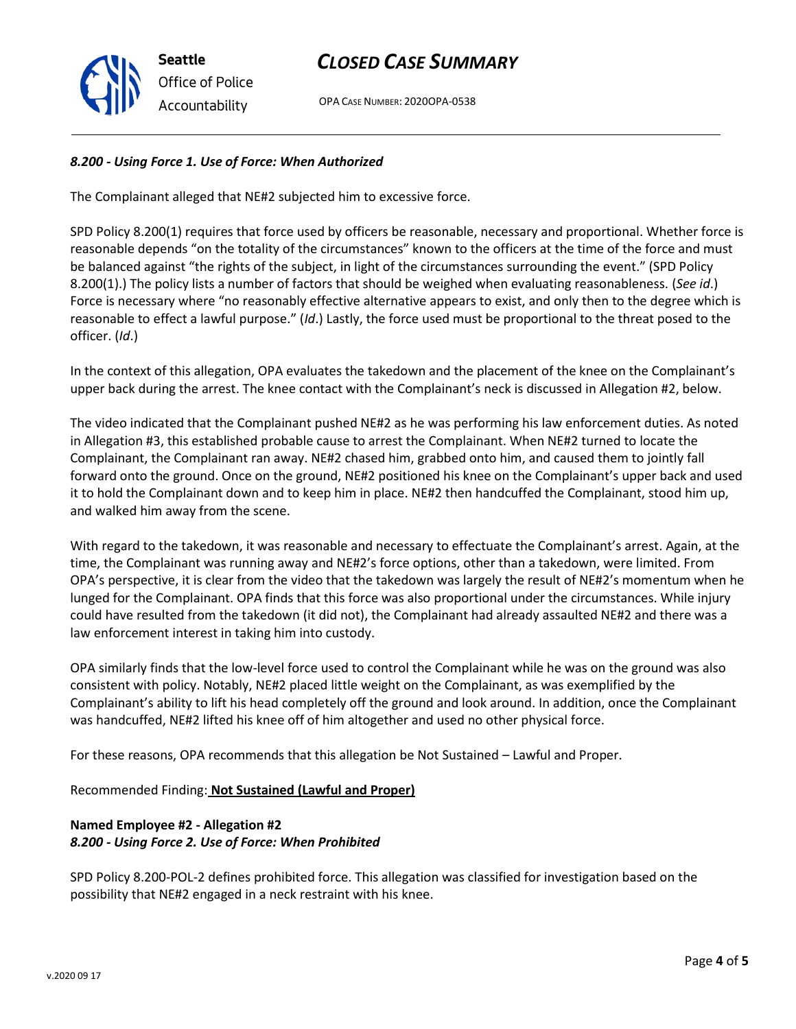

# *CLOSED CASE SUMMARY*

OPA CASE NUMBER: 2020OPA-0538

## *8.200 - Using Force 1. Use of Force: When Authorized*

The Complainant alleged that NE#2 subjected him to excessive force.

SPD Policy 8.200(1) requires that force used by officers be reasonable, necessary and proportional. Whether force is reasonable depends "on the totality of the circumstances" known to the officers at the time of the force and must be balanced against "the rights of the subject, in light of the circumstances surrounding the event." (SPD Policy 8.200(1).) The policy lists a number of factors that should be weighed when evaluating reasonableness. (*See id*.) Force is necessary where "no reasonably effective alternative appears to exist, and only then to the degree which is reasonable to effect a lawful purpose." (*Id*.) Lastly, the force used must be proportional to the threat posed to the officer. (*Id*.)

In the context of this allegation, OPA evaluates the takedown and the placement of the knee on the Complainant's upper back during the arrest. The knee contact with the Complainant's neck is discussed in Allegation #2, below.

The video indicated that the Complainant pushed NE#2 as he was performing his law enforcement duties. As noted in Allegation #3, this established probable cause to arrest the Complainant. When NE#2 turned to locate the Complainant, the Complainant ran away. NE#2 chased him, grabbed onto him, and caused them to jointly fall forward onto the ground. Once on the ground, NE#2 positioned his knee on the Complainant's upper back and used it to hold the Complainant down and to keep him in place. NE#2 then handcuffed the Complainant, stood him up, and walked him away from the scene.

With regard to the takedown, it was reasonable and necessary to effectuate the Complainant's arrest. Again, at the time, the Complainant was running away and NE#2's force options, other than a takedown, were limited. From OPA's perspective, it is clear from the video that the takedown was largely the result of NE#2's momentum when he lunged for the Complainant. OPA finds that this force was also proportional under the circumstances. While injury could have resulted from the takedown (it did not), the Complainant had already assaulted NE#2 and there was a law enforcement interest in taking him into custody.

OPA similarly finds that the low-level force used to control the Complainant while he was on the ground was also consistent with policy. Notably, NE#2 placed little weight on the Complainant, as was exemplified by the Complainant's ability to lift his head completely off the ground and look around. In addition, once the Complainant was handcuffed, NE#2 lifted his knee off of him altogether and used no other physical force.

For these reasons, OPA recommends that this allegation be Not Sustained – Lawful and Proper.

Recommended Finding: **Not Sustained (Lawful and Proper)**

## **Named Employee #2 - Allegation #2** *8.200 - Using Force 2. Use of Force: When Prohibited*

SPD Policy 8.200-POL-2 defines prohibited force. This allegation was classified for investigation based on the possibility that NE#2 engaged in a neck restraint with his knee.